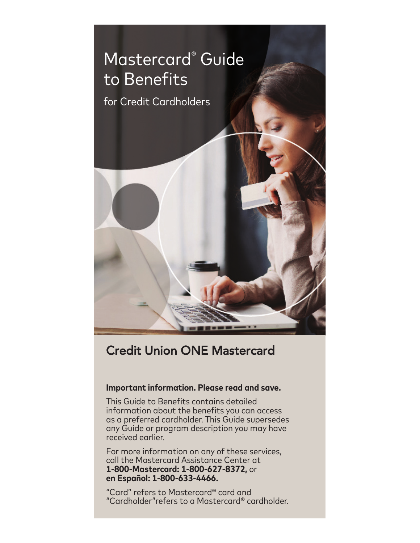

# Credit Union ONE Mastercard

# **Important information. Please read and save.**

This Guide to Benefits contains detailed information about the benefits you can access as a preferred cardholder. This Guide supersedes any Guide or program description you may have received earlier.

For more information on any of these services, call the Mastercard Assistance Center at **1-800-Mastercard: 1-800-627-8372,** or **en Español: 1-800-633-4466.**

"Card" refers to Mastercard® card and "Cardholder"refers to a Mastercard® cardholder.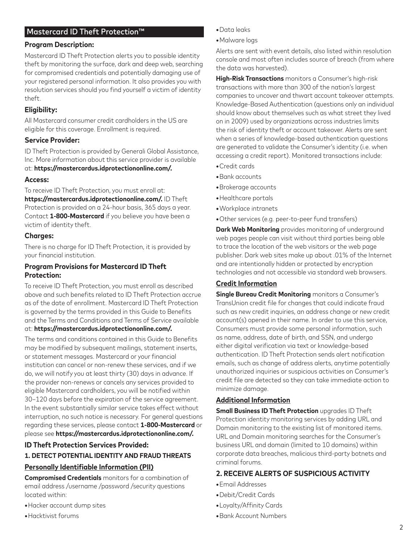## Mastercard ID Theft Protection™

### **Program Description:**

Mastercard ID Theft Protection alerts you to possible identity theft by monitoring the surface, dark and deep web, searching for compromised credentials and potentially damaging use of your registered personal information. It also provides you with resolution services should you find yourself a victim of identity theft.

## **Eligibility:**

All Mastercard consumer credit cardholders in the US are eligible for this coverage. Enrollment is required.

### **Service Provider:**

ID Theft Protection is provided by Generali Global Assistance, Inc. More information about this service provider is available

#### at: **https://mastercardus.idprotectiononline.com/.**

#### **Access:**

To receive ID Theft Protection, you must enroll at: **https://mastercardus.idprotectiononline.com/.** ID Theft Protection is provided on a 24-hour basis, 365 days a year. Contact **1-800-Mastercard** if you believe you have been a victim of identity theft.

#### **Charges:**

There is no charge for ID Theft Protection, it is provided by your financial institution.

## **Program Provisions for Mastercard ID Theft Protection:**

To receive ID Theft Protection, you must enroll as described above and such benefits related to ID Theft Protection accrue as of the date of enrollment. Mastercard ID Theft Protection is governed by the terms provided in this Guide to Benefits and the Terms and Conditions and Terms of Service available at: **https://mastercardus.idprotectiononline.com/.** 

The terms and conditions contained in this Guide to Benefits may be modified by subsequent mailings, statement inserts, or statement messages. Mastercard or your financial institution can cancel or non-renew these services, and if we do, we will notify you at least thirty (30) days in advance. If the provider non-renews or cancels any services provided to eligible Mastercard cardholders, you will be notified within 30–120 days before the expiration of the service agreement. In the event substantially similar service takes effect without interruption, no such notice is necessary. For general questions regarding these services, please contact **1-800-Mastercard** or please see **https://mastercardus.idprotectiononline.com/.**

## **ID Theft Protection Services Provided:**

#### **1. DETECT POTENTIAL IDENTITY AND FRAUD THREATS**

#### **Personally Identifiable Information (PII)**

**Compromised Credentials** monitors for a combination of email address /username /password /security questions located within:

- **•**Hacker account dump sites
- **•**Hacktivist forums
- Data leaks
- Malware logs

Alerts are sent with event details, also listed within resolution console and most often includes source of breach (from where the data was harvested).

**High-Risk Transactions** monitors a Consumer's high-risk transactions with more than 300 of the nation's largest companies to uncover and thwart account takeover attempts. Knowledge-Based Authentication (questions only an individual should know about themselves such as what street they lived on in 2009) used by organizations across industries limits the risk of identity theft or account takeover. Alerts are sent when a series of knowledge-based authentication questions are generated to validate the Consumer's identity (i.e. when accessing a credit report). Monitored transactions include:

- Credit cards
- Bank accounts
- Brokerage accounts
- Healthcare portals
- Workplace intranets
- Other services (e.g. peer-to-peer fund transfers)

**Dark Web Monitoring** provides monitoring of underground web pages people can visit without third parties being able to trace the location of the web visitors or the web page publisher. Dark web sites make up about .01% of the Internet and are intentionally hidden or protected by encryption technologies and not accessible via standard web browsers.

## **Credit Information**

**Single Bureau Credit Monitoring** monitors a Consumer's TransUnion credit file for changes that could indicate fraud such as new credit inquiries, an address change or new credit account(s) opened in their name. In order to use this service, Consumers must provide some personal information, such as name, address, date of birth, and SSN, and undergo either digital verification via text or knowledge-based authentication. ID Theft Protection sends alert notification emails, such as change of address alerts, anytime potentially unauthorized inquiries or suspicious activities on Consumer's credit file are detected so they can take immediate action to minimize damage.

#### **Additional Information**

**Small Business ID Theft Protection** upgrades ID Theft Protection identity monitoring services by adding URL and Domain monitoring to the existing list of monitored items. URL and Domain monitoring searches for the Consumer's business URL and domain (limited to 10 domains) within corporate data breaches, malicious third-party botnets and criminal forums.

## **2. RECEIVE ALERTS OF SUSPICIOUS ACTIVITY**

- Email Addresses
- Debit/Credit Cards
- Loyalty/Affinity Cards
- Bank Account Numbers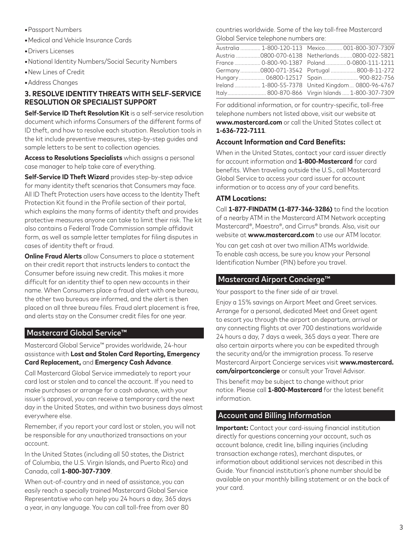- **•**Passport Numbers
- **•**Medical and Vehicle Insurance Cards
- **•**Drivers Licenses
- **•**National Identity Numbers/Social Security Numbers
- **•**New Lines of Credit
- **•**Address Changes

## **3. RESOLVE IDENTITY THREATS WITH SELF-SERVICE RESOLUTION OR SPECIALIST SUPPORT**

**Self-Service ID Theft Resolution Kit** is a self-service resolution document which informs Consumers of the different forms of ID theft, and how to resolve each situation. Resolution tools in the kit include preventive measures, step-by-step guides and sample letters to be sent to collection agencies.

**Access to Resolutions Specialists** which assigns a personal case manager to help take care of everything.

**Self-Service ID Theft Wizard** provides step-by-step advice for many identity theft scenarios that Consumers may face. All ID Theft Protection users have access to the Identity Theft Protection Kit found in the Profile section of their portal, which explains the many forms of identity theft and provides protective measures anyone can take to limit their risk. The kit also contains a Federal Trade Commission sample affidavit form, as well as sample letter templates for filing disputes in cases of identity theft or fraud.

**Online Fraud Alerts** allow Consumers to place a statement on their credit report that instructs lenders to contact the Consumer before issuing new credit. This makes it more difficult for an identity thief to open new accounts in their name. When Consumers place a fraud alert with one bureau, the other two bureaus are informed, and the alert is then placed on all three bureau files. Fraud alert placement is free, and alerts stay on the Consumer credit files for one year.

# Mastercard Global Service™

Mastercard Global Service™ provides worldwide, 24-hour assistance with **Lost and Stolen Card Reporting, Emergency Card Replacement,** and **Emergency Cash Advance**.

Call Mastercard Global Service immediately to report your card lost or stolen and to cancel the account. If you need to make purchases or arrange for a cash advance, with your issuer's approval, you can receive a temporary card the next day in the United States, and within two business days almost everywhere else.

Remember, if you report your card lost or stolen, you will not be responsible for any unauthorized transactions on your account.

In the United States (including all 50 states, the District of Columbia, the U.S. Virgin Islands, and Puerto Rico) and Canada, call **1-800-307-7309**.

When out-of-country and in need of assistance, you can easily reach a specially trained Mastercard Global Service Representative who can help you 24 hours a day, 365 days a year, in any language. You can call toll-free from over 80

countries worldwide. Some of the key toll-free Mastercard Global Service telephone numbers are:

|  | Australia  1-800-120-113 Mexico  001-800-307-7309   |
|--|-----------------------------------------------------|
|  | Austria 0800-070-6138 Netherlands0800-022-5821      |
|  | France  0-800-90-1387    Poland0-0800-111-1211      |
|  | Germany0800-071-3542 Portugal800-8-11-272           |
|  | Hungary 06800-12517 Spain 900-822-756               |
|  | Ireland  1-800-55-7378 United Kingdom  0800-96-4767 |
|  |                                                     |
|  |                                                     |

For additional information, or for country-specific, toll-free telephone numbers not listed above, visit our website at **www.mastercard.com** or call the United States collect at **1-636-722-7111**.

## **Account Information and Card Benefits:**

When in the United States, contact your card issuer directly for account information and **1-800-Mastercard** for card benefits. When traveling outside the U.S., call Mastercard Global Service to access your card issuer for account information or to access any of your card benefits.

### **ATM Locations:**

Call **1-877-FINDATM (1-877-346-3286)** to find the location of a nearby ATM in the Mastercard ATM Network accepting Mastercard®, Maestro®, and Cirrus® brands. Also, visit our website at **www.mastercard.com** to use our ATM locator.

You can get cash at over two million ATMs worldwide. To enable cash access, be sure you know your Personal Identification Number (PIN) before you travel.

## Mastercard Airport Concierge™

Your passport to the finer side of air travel.

Enjoy a 15% savings on Airport Meet and Greet services. Arrange for a personal, dedicated Meet and Greet agent to escort you through the airport on departure, arrival or any connecting flights at over 700 destinations worldwide 24 hours a day, 7 days a week, 365 days a year. There are also certain airports where you can be expedited through the security and/or the immigration process. To reserve Mastercard Airport Concierge services visit **www.mastercard. com/airportconcierge** or consult your Travel Advisor.

This benefit may be subject to change without prior notice. Please call **1-800-Mastercard** for the latest benefit information.

# Account and Billing Information

**Important:** Contact your card-issuing financial institution directly for questions concerning your account, such as account balance, credit line, billing inquiries (including transaction exchange rates), merchant disputes, or information about additional services not described in this Guide. Your financial institution's phone number should be available on your monthly billing statement or on the back of your card.